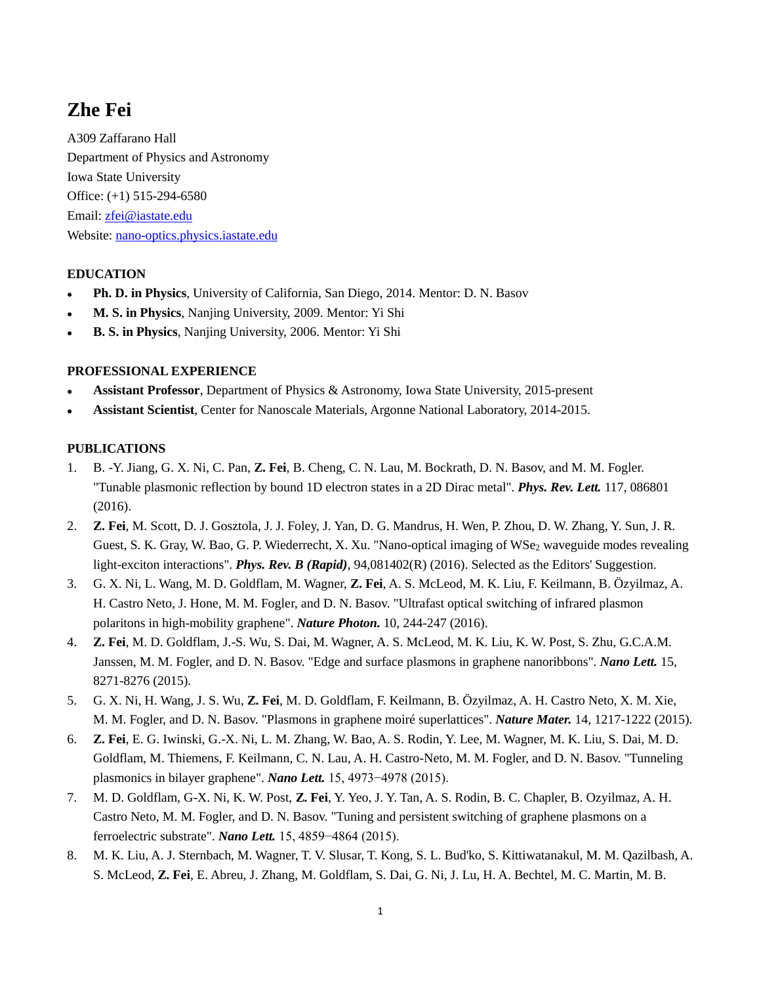# **Zhe Fei**

A309 Zaffarano Hall Department of Physics and Astronomy Iowa State University Office: (+1) 515-294-6580 Email: [zfei@iastate.edu](mailto:zfei@iastate.edu) Website: [nano-optics.physics.iastate.edu](http://nano-optics.physics.iastate.edu/)

## **EDUCATION**

- **Ph. D. in Physics**, University of California, San Diego, 2014. Mentor: D. N. Basov
- **M. S. in Physics**, Nanjing University, 2009. Mentor: Yi Shi
- **B. S. in Physics**, Nanjing University, 2006. Mentor: Yi Shi

#### **PROFESSIONAL EXPERIENCE**

- **Assistant Professor**, Department of Physics & Astronomy, Iowa State University, 2015-present
- **Assistant Scientist**, Center for Nanoscale Materials, Argonne National Laboratory, 2014-2015.

#### **PUBLICATIONS**

- 1. B. -Y. Jiang, G. X. Ni, C. Pan, **Z. Fei**, B. Cheng, C. N. Lau, M. Bockrath, D. N. Basov, and M. M. Fogler. "Tunable plasmonic reflection by bound 1D electron states in a 2D Dirac metal". *Phys. Rev. Lett.* 117, 086801 (2016).
- 2. **Z. Fei**, M. Scott, D. J. Gosztola, J. J. Foley, J. Yan, D. G. Mandrus, H. Wen, P. Zhou, D. W. Zhang, Y. Sun, J. R. Guest, S. K. Gray, W. Bao, G. P. Wiederrecht, X. Xu. "Nano-optical imaging of WSe2 waveguide modes revealing light-exciton interactions". *Phys. Rev. B (Rapid)*, 94,081402(R) (2016). Selected as the Editors' Suggestion.
- 3. G. X. Ni, L. Wang, M. D. Goldflam, M. Wagner, **Z. Fei**, A. S. McLeod, M. K. Liu, F. Keilmann, B. Özyilmaz, A. H. Castro Neto, J. Hone, M. M. Fogler, and D. N. Basov. "Ultrafast optical switching of infrared plasmon polaritons in high-mobility graphene". *Nature Photon.* 10, 244-247 (2016).
- 4. **Z. Fei**, M. D. Goldflam, J.-S. Wu, S. Dai, M. Wagner, A. S. McLeod, M. K. Liu, K. W. Post, S. Zhu, G.C.A.M. Janssen, M. M. Fogler, and D. N. Basov. "Edge and surface plasmons in graphene nanoribbons". *Nano Lett.* 15, 8271-8276 (2015).
- 5. G. X. Ni, H. Wang, J. S. Wu, **Z. Fei**, M. D. Goldflam, F. Keilmann, B. Özyilmaz, A. H. Castro Neto, X. M. Xie, M. M. Fogler, and D. N. Basov. "Plasmons in graphene moiré superlattices". *Nature Mater.* 14, 1217-1222 (2015).
- 6. **Z. Fei**, E. G. Iwinski, G.-X. Ni, L. M. Zhang, W. Bao, A. S. Rodin, Y. Lee, M. Wagner, M. K. Liu, S. Dai, M. D. Goldflam, M. Thiemens, F. Keilmann, C. N. Lau, A. H. Castro-Neto, M. M. Fogler, and D. N. Basov. "Tunneling plasmonics in bilayer graphene". *Nano Lett.* 15, 4973−4978 (2015).
- 7. M. D. Goldflam, G-X. Ni, K. W. Post, **Z. Fei**, Y. Yeo, J. Y. Tan, A. S. Rodin, B. C. Chapler, B. Ozyilmaz, A. H. Castro Neto, M. M. Fogler, and D. N. Basov. "Tuning and persistent switching of graphene plasmons on a ferroelectric substrate". *Nano Lett.* 15, 4859−4864 (2015).
- 8. M. K. Liu, A. J. Sternbach, M. Wagner, T. V. Slusar, T. Kong, S. L. Bud'ko, S. Kittiwatanakul, M. M. Qazilbash, A. S. McLeod, **Z. Fei**, E. Abreu, J. Zhang, M. Goldflam, S. Dai, G. Ni, J. Lu, H. A. Bechtel, M. C. Martin, M. B.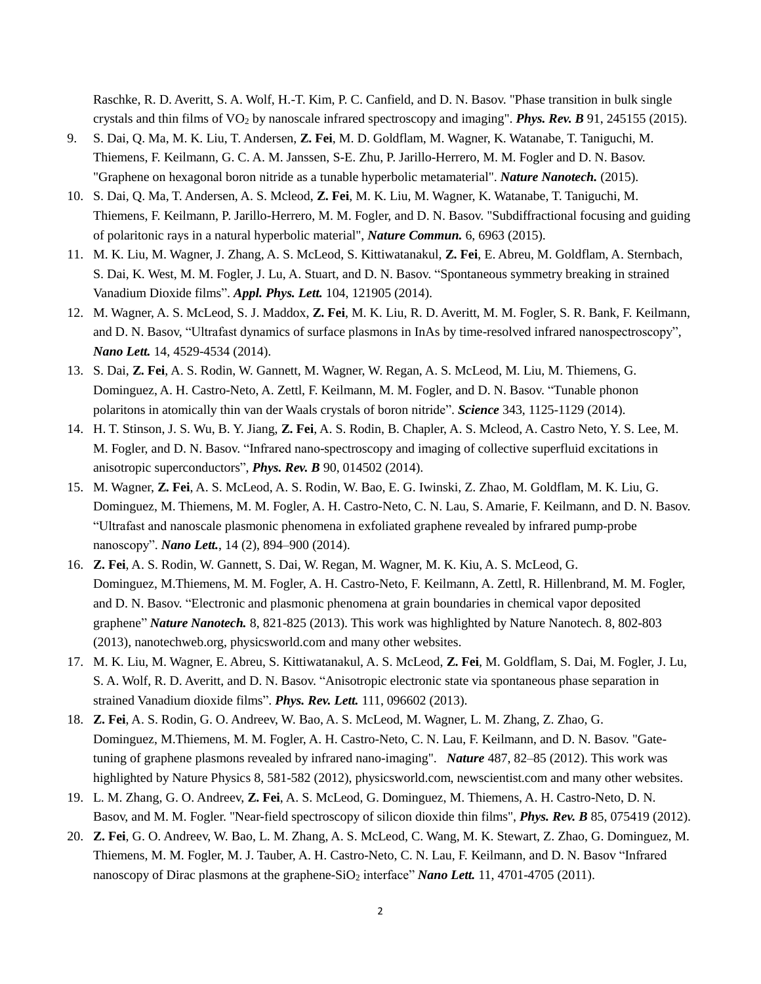Raschke, R. D. Averitt, S. A. Wolf, H.-T. Kim, P. C. Canfield, and D. N. Basov. "Phase transition in bulk single crystals and thin films of VO<sup>2</sup> by nanoscale infrared spectroscopy and imaging". *Phys. Rev. B* 91, 245155 (2015).

- 9. S. Dai, Q. Ma, M. K. Liu, T. Andersen, **Z. Fei**, M. D. Goldflam, M. Wagner, K. Watanabe, T. Taniguchi, M. Thiemens, F. Keilmann, G. C. A. M. Janssen, S-E. Zhu, P. Jarillo-Herrero, M. M. Fogler and D. N. Basov. "Graphene on hexagonal boron nitride as a tunable hyperbolic metamaterial". *Nature Nanotech.* (2015).
- 10. S. Dai, Q. Ma, T. Andersen, A. S. Mcleod, **Z. Fei**, M. K. Liu, M. Wagner, K. Watanabe, T. Taniguchi, M. Thiemens, F. Keilmann, P. Jarillo-Herrero, M. M. Fogler, and D. N. Basov. "Subdiffractional focusing and guiding of polaritonic rays in a natural hyperbolic material", *Nature Commun.* 6, 6963 (2015).
- 11. M. K. Liu, M. Wagner, J. Zhang, A. S. McLeod, S. Kittiwatanakul, **Z. Fei**, E. Abreu, M. Goldflam, A. Sternbach, S. Dai, K. West, M. M. Fogler, J. Lu, A. Stuart, and D. N. Basov. "Spontaneous symmetry breaking in strained Vanadium Dioxide films". *Appl. Phys. Lett.* 104, 121905 (2014).
- 12. M. Wagner, A. S. McLeod, S. J. Maddox, **Z. Fei**, M. K. Liu, R. D. Averitt, M. M. Fogler, S. R. Bank, F. Keilmann, and D. N. Basov, "Ultrafast dynamics of surface plasmons in InAs by time-resolved infrared nanospectroscopy", *Nano Lett.* 14, 4529-4534 (2014).
- 13. S. Dai, **Z. Fei**, A. S. Rodin, W. Gannett, M. Wagner, W. Regan, A. S. McLeod, M. Liu, M. Thiemens, G. Dominguez, A. H. Castro-Neto, A. Zettl, F. Keilmann, M. M. Fogler, and D. N. Basov. "Tunable phonon polaritons in atomically thin van der Waals crystals of boron nitride". *Science* 343, 1125-1129 (2014).
- 14. H. T. Stinson, J. S. Wu, B. Y. Jiang, **Z. Fei**, A. S. Rodin, B. Chapler, A. S. Mcleod, A. Castro Neto, Y. S. Lee, M. M. Fogler, and D. N. Basov. "Infrared nano-spectroscopy and imaging of collective superfluid excitations in anisotropic superconductors", *Phys. Rev. B* 90, 014502 (2014).
- 15. M. Wagner, **Z. Fei**, A. S. McLeod, A. S. Rodin, W. Bao, E. G. Iwinski, Z. Zhao, M. Goldflam, M. K. Liu, G. Dominguez, M. Thiemens, M. M. Fogler, A. H. Castro-Neto, C. N. Lau, S. Amarie, F. Keilmann, and D. N. Basov. "Ultrafast and nanoscale plasmonic phenomena in exfoliated graphene revealed by infrared pump-probe nanoscopy". *Nano Lett.*, 14 (2), 894–900 (2014).
- 16. **Z. Fei**, A. S. Rodin, W. Gannett, S. Dai, W. Regan, M. Wagner, M. K. Kiu, A. S. McLeod, G. Dominguez, M.Thiemens, M. M. Fogler, A. H. Castro-Neto, F. Keilmann, A. Zettl, R. Hillenbrand, M. M. Fogler, and D. N. Basov. "Electronic and plasmonic phenomena at grain boundaries in chemical vapor deposited graphene" *Nature Nanotech.* 8, 821-825 (2013). This work was highlighted by Nature Nanotech. 8, 802-803 (2013), nanotechweb.org, physicsworld.com and many other websites.
- 17. M. K. Liu, M. Wagner, E. Abreu, S. Kittiwatanakul, A. S. McLeod, **Z. Fei**, M. Goldflam, S. Dai, M. Fogler, J. Lu, S. A. Wolf, R. D. Averitt, and D. N. Basov. "Anisotropic electronic state via spontaneous phase separation in strained Vanadium dioxide films". *Phys. Rev. Lett.* 111, 096602 (2013).
- 18. **Z. Fei**, A. S. Rodin, G. O. Andreev, W. Bao, A. S. McLeod, M. Wagner, L. M. Zhang, Z. Zhao, G. Dominguez, M.Thiemens, M. M. Fogler, A. H. Castro-Neto, C. N. Lau, F. Keilmann, and D. N. Basov. "Gatetuning of graphene plasmons revealed by infrared nano-imaging". *Nature* 487, 82–85 (2012). This work was highlighted by Nature Physics 8, 581-582 (2012), physicsworld.com, newscientist.com and many other websites.
- 19. L. M. Zhang, G. O. Andreev, **Z. Fei**, A. S. McLeod, G. Dominguez, M. Thiemens, A. H. Castro-Neto, D. N. Basov, and M. M. Fogler. "Near-field spectroscopy of silicon dioxide thin films", *Phys. Rev. B* [85, 075419 \(2012\).](http://prb.aps.org/abstract/PRB/v85/i7/e075419)
- 20. **Z. Fei**, G. O. Andreev, W. Bao, L. M. Zhang, A. S. McLeod, C. Wang, M. K. Stewart, Z. Zhao, G. Dominguez, M. Thiemens, M. M. Fogler, M. J. Tauber, A. H. Castro-Neto, C. N. Lau, F. Keilmann, and D. N. Basov "Infrared nanoscopy of Dirac plasmons at the graphene-SiO<sub>2</sub> interface" *Nano Lett.* [11, 4701-4705 \(2011\).](http://pubs.acs.org/doi/abs/10.1021/nl202362d?journalCode=nalefd&quickLinkVolume=11&quickLinkPage=4701&volume=11)